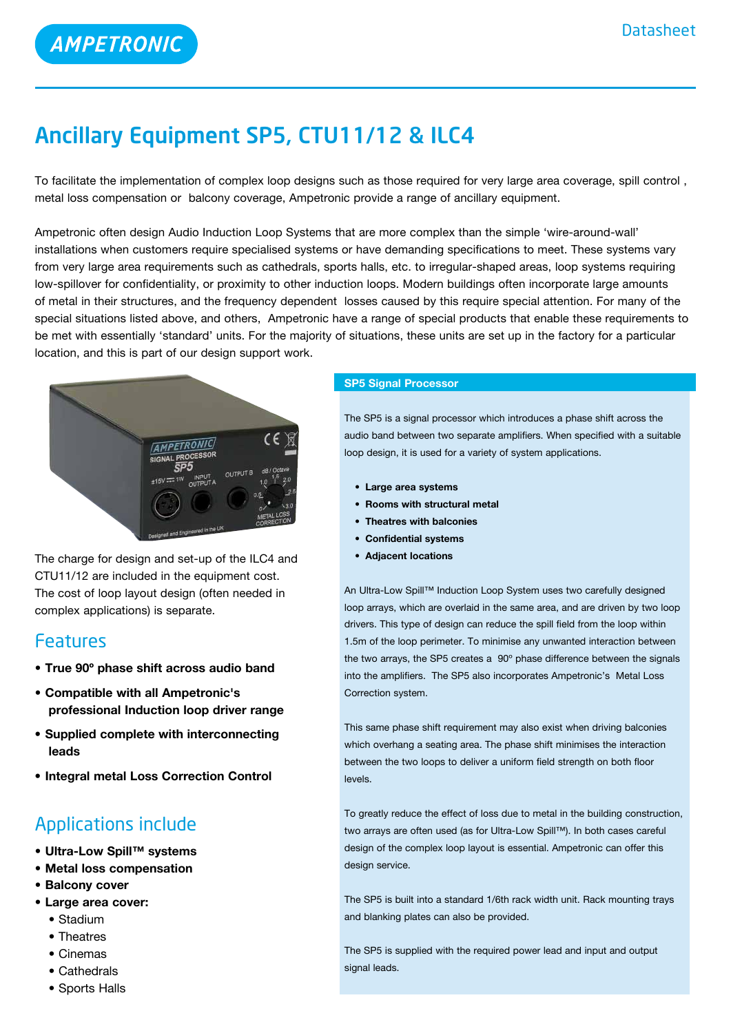# Ancillary Equipment SP5, CTU11**/**12 & ILC4

To facilitate the implementation of complex loop designs such as those required for very large area coverage, spill control , metal loss compensation or balcony coverage, Ampetronic provide a range of ancillary equipment.

Ampetronic often design Audio Induction Loop Systems that are more complex than the simple 'wire-around-wall' installations when customers require specialised systems or have demanding specifications to meet. These systems vary from very large area requirements such as cathedrals, sports halls, etc. to irregular-shaped areas, loop systems requiring low-spillover for confidentiality, or proximity to other induction loops. Modern buildings often incorporate large amounts of metal in their structures, and the frequency dependent losses caused by this require special attention. For many of the special situations listed above, and others, Ampetronic have a range of special products that enable these requirements to be met with essentially 'standard' units. For the majority of situations, these units are set up in the factory for a particular location, and this is part of our design support work.



The charge for design and set-up of the ILC4 and CTU11/12 are included in the equipment cost. The cost of loop layout design (often needed in complex applications) is separate.

### Features

- **True 90º phase shift across audio band**
- **Compatible with all Ampetronic's professional Induction loop driver range**
- **Supplied complete with interconnecting leads**
- **Integral metal Loss Correction Control**

## Applications include

- **• Ultra-Low Spill™ systems**
- **• Metal loss compensation**
- **• Balcony cover**
- **• Large area cover:**
	- Stadium
	- Theatres
	- Cinemas
	- Cathedrals
	- Sports Halls

#### **SP5 Signal Processor**

The SP5 is a signal processor which introduces a phase shift across the audio band between two separate amplifiers. When specified with a suitable loop design, it is used for a variety of system applications.

- **• Large area systems**
- **• Rooms with structural metal**
- **• Theatres with balconies**
- **• Confidential systems**
- **• Adjacent locations**

An Ultra-Low Spill™ Induction Loop System uses two carefully designed loop arrays, which are overlaid in the same area, and are driven by two loop drivers. This type of design can reduce the spill field from the loop within 1.5m of the loop perimeter. To minimise any unwanted interaction between the two arrays, the SP5 creates a 90º phase difference between the signals into the amplifiers. The SP5 also incorporates Ampetronic's Metal Loss Correction system.

This same phase shift requirement may also exist when driving balconies which overhang a seating area. The phase shift minimises the interaction between the two loops to deliver a uniform field strength on both floor levels.

To greatly reduce the effect of loss due to metal in the building construction, two arrays are often used (as for Ultra-Low Spill™). In both cases careful design of the complex loop layout is essential. Ampetronic can offer this design service.

The SP5 is built into a standard 1/6th rack width unit. Rack mounting trays and blanking plates can also be provided.

The SP5 is supplied with the required power lead and input and output signal leads.